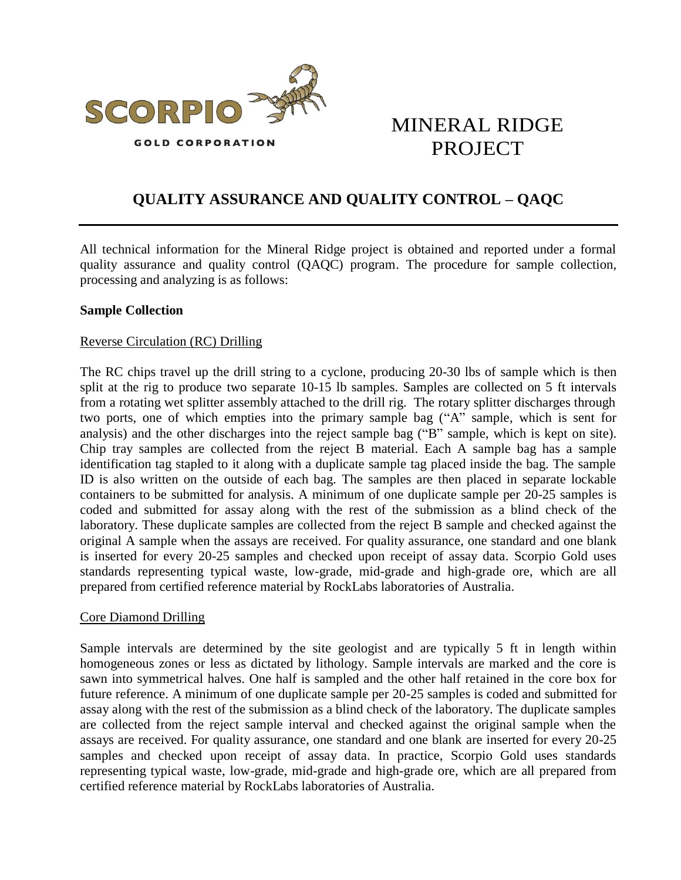

# MINERAL RIDGE PROJECT

# **QUALITY ASSURANCE AND QUALITY CONTROL – QAQC**

All technical information for the Mineral Ridge project is obtained and reported under a formal quality assurance and quality control (QAQC) program. The procedure for sample collection, processing and analyzing is as follows:

## **Sample Collection**

## Reverse Circulation (RC) Drilling

The RC chips travel up the drill string to a cyclone, producing 20-30 lbs of sample which is then split at the rig to produce two separate 10-15 lb samples. Samples are collected on 5 ft intervals from a rotating wet splitter assembly attached to the drill rig. The rotary splitter discharges through two ports, one of which empties into the primary sample bag ("A" sample, which is sent for analysis) and the other discharges into the reject sample bag ("B" sample, which is kept on site). Chip tray samples are collected from the reject B material. Each A sample bag has a sample identification tag stapled to it along with a duplicate sample tag placed inside the bag. The sample ID is also written on the outside of each bag. The samples are then placed in separate lockable containers to be submitted for analysis. A minimum of one duplicate sample per 20-25 samples is coded and submitted for assay along with the rest of the submission as a blind check of the laboratory. These duplicate samples are collected from the reject B sample and checked against the original A sample when the assays are received. For quality assurance, one standard and one blank is inserted for every 20-25 samples and checked upon receipt of assay data. Scorpio Gold uses standards representing typical waste, low-grade, mid-grade and high-grade ore, which are all prepared from certified reference material by RockLabs laboratories of Australia.

## Core Diamond Drilling

Sample intervals are determined by the site geologist and are typically 5 ft in length within homogeneous zones or less as dictated by lithology. Sample intervals are marked and the core is sawn into symmetrical halves. One half is sampled and the other half retained in the core box for future reference. A minimum of one duplicate sample per 20-25 samples is coded and submitted for assay along with the rest of the submission as a blind check of the laboratory. The duplicate samples are collected from the reject sample interval and checked against the original sample when the assays are received. For quality assurance, one standard and one blank are inserted for every 20-25 samples and checked upon receipt of assay data. In practice, Scorpio Gold uses standards representing typical waste, low-grade, mid-grade and high-grade ore, which are all prepared from certified reference material by RockLabs laboratories of Australia.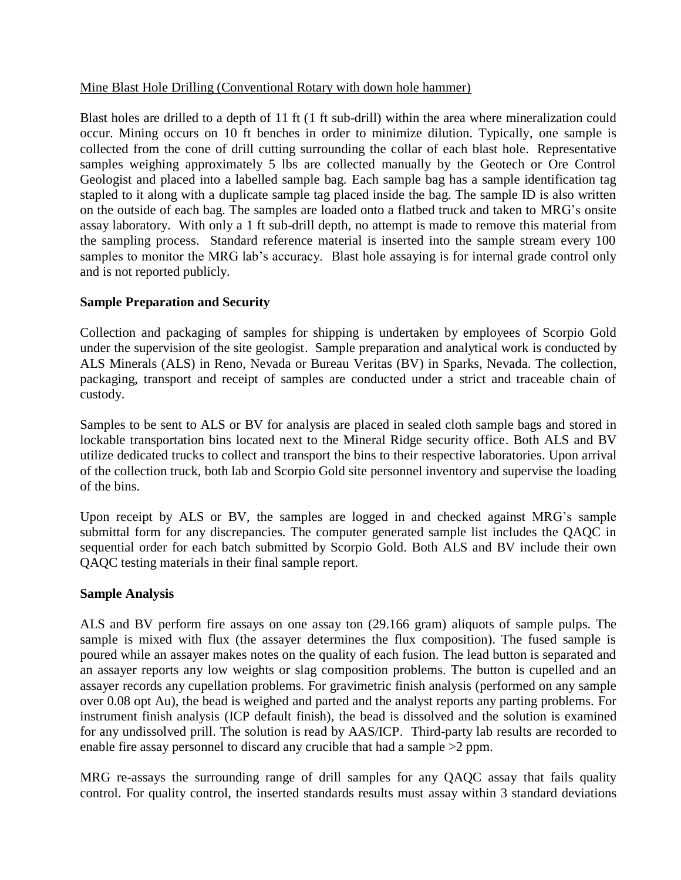# Mine Blast Hole Drilling (Conventional Rotary with down hole hammer)

Blast holes are drilled to a depth of 11 ft (1 ft sub-drill) within the area where mineralization could occur. Mining occurs on 10 ft benches in order to minimize dilution. Typically, one sample is collected from the cone of drill cutting surrounding the collar of each blast hole. Representative samples weighing approximately 5 lbs are collected manually by the Geotech or Ore Control Geologist and placed into a labelled sample bag. Each sample bag has a sample identification tag stapled to it along with a duplicate sample tag placed inside the bag. The sample ID is also written on the outside of each bag. The samples are loaded onto a flatbed truck and taken to MRG's onsite assay laboratory. With only a 1 ft sub-drill depth, no attempt is made to remove this material from the sampling process. Standard reference material is inserted into the sample stream every 100 samples to monitor the MRG lab's accuracy. Blast hole assaying is for internal grade control only and is not reported publicly.

# **Sample Preparation and Security**

Collection and packaging of samples for shipping is undertaken by employees of Scorpio Gold under the supervision of the site geologist. Sample preparation and analytical work is conducted by ALS Minerals (ALS) in Reno, Nevada or Bureau Veritas (BV) in Sparks, Nevada. The collection, packaging, transport and receipt of samples are conducted under a strict and traceable chain of custody.

Samples to be sent to ALS or BV for analysis are placed in sealed cloth sample bags and stored in lockable transportation bins located next to the Mineral Ridge security office. Both ALS and BV utilize dedicated trucks to collect and transport the bins to their respective laboratories. Upon arrival of the collection truck, both lab and Scorpio Gold site personnel inventory and supervise the loading of the bins.

Upon receipt by ALS or BV, the samples are logged in and checked against MRG's sample submittal form for any discrepancies. The computer generated sample list includes the QAQC in sequential order for each batch submitted by Scorpio Gold. Both ALS and BV include their own QAQC testing materials in their final sample report.

# **Sample Analysis**

ALS and BV perform fire assays on one assay ton (29.166 gram) aliquots of sample pulps. The sample is mixed with flux (the assayer determines the flux composition). The fused sample is poured while an assayer makes notes on the quality of each fusion. The lead button is separated and an assayer reports any low weights or slag composition problems. The button is cupelled and an assayer records any cupellation problems. For gravimetric finish analysis (performed on any sample over 0.08 opt Au), the bead is weighed and parted and the analyst reports any parting problems. For instrument finish analysis (ICP default finish), the bead is dissolved and the solution is examined for any undissolved prill. The solution is read by AAS/ICP. Third-party lab results are recorded to enable fire assay personnel to discard any crucible that had a sample >2 ppm.

MRG re-assays the surrounding range of drill samples for any QAQC assay that fails quality control. For quality control, the inserted standards results must assay within 3 standard deviations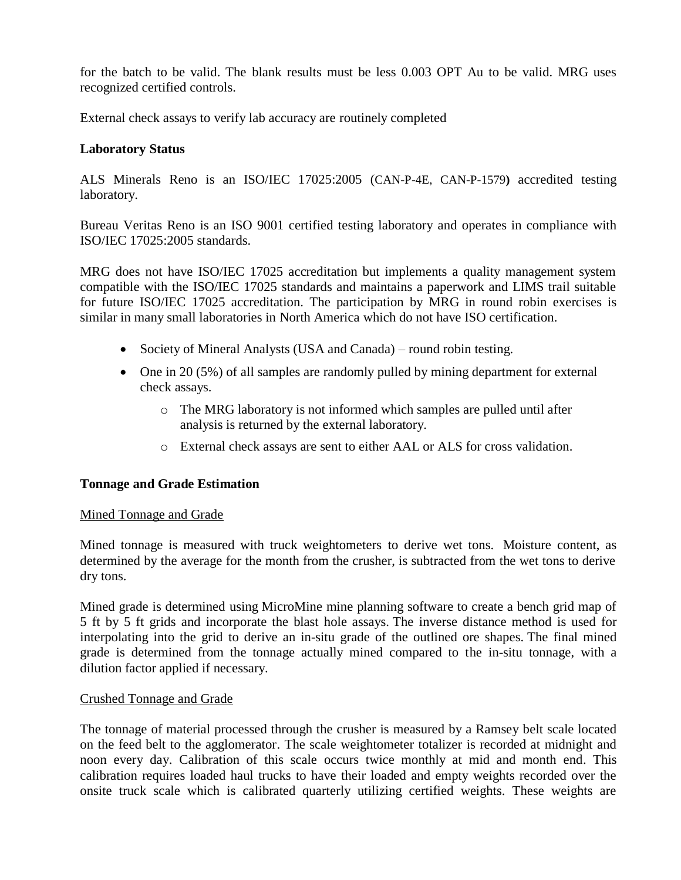for the batch to be valid. The blank results must be less 0.003 OPT Au to be valid. MRG uses recognized certified controls.

External check assays to verify lab accuracy are routinely completed

# **Laboratory Status**

ALS Minerals Reno is an ISO/IEC 17025:2005 (CAN-P-4E, CAN-P-1579**)** accredited testing laboratory.

Bureau Veritas Reno is an ISO 9001 certified testing laboratory and operates in compliance with ISO/IEC 17025:2005 standards.

MRG does not have ISO/IEC 17025 accreditation but implements a quality management system compatible with the ISO/IEC 17025 standards and maintains a paperwork and LIMS trail suitable for future ISO/IEC 17025 accreditation. The participation by MRG in round robin exercises is similar in many small laboratories in North America which do not have ISO certification.

- Society of Mineral Analysts (USA and Canada) round robin testing.
- One in 20 (5%) of all samples are randomly pulled by mining department for external check assays.
	- o The MRG laboratory is not informed which samples are pulled until after analysis is returned by the external laboratory.
	- o External check assays are sent to either AAL or ALS for cross validation.

## **Tonnage and Grade Estimation**

## Mined Tonnage and Grade

Mined tonnage is measured with truck weightometers to derive wet tons. Moisture content, as determined by the average for the month from the crusher, is subtracted from the wet tons to derive dry tons.

Mined grade is determined using MicroMine mine planning software to create a bench grid map of 5 ft by 5 ft grids and incorporate the blast hole assays. The inverse distance method is used for interpolating into the grid to derive an in-situ grade of the outlined ore shapes. The final mined grade is determined from the tonnage actually mined compared to the in-situ tonnage, with a dilution factor applied if necessary.

## Crushed Tonnage and Grade

The tonnage of material processed through the crusher is measured by a Ramsey belt scale located on the feed belt to the agglomerator. The scale weightometer totalizer is recorded at midnight and noon every day. Calibration of this scale occurs twice monthly at mid and month end. This calibration requires loaded haul trucks to have their loaded and empty weights recorded over the onsite truck scale which is calibrated quarterly utilizing certified weights. These weights are